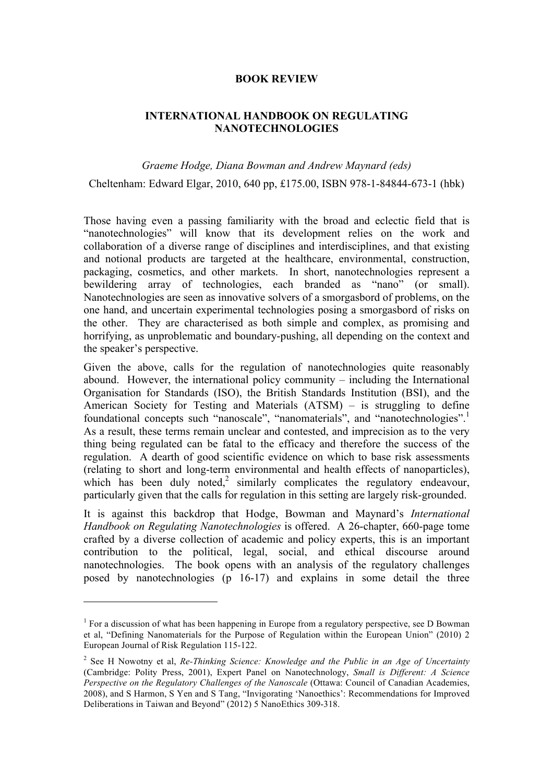## **BOOK REVIEW**

## **INTERNATIONAL HANDBOOK ON REGULATING NANOTECHNOLOGIES**

## *Graeme Hodge, Diana Bowman and Andrew Maynard (eds)*

Cheltenham: Edward Elgar, 2010, 640 pp, £175.00, ISBN 978-1-84844-673-1 (hbk)

Those having even a passing familiarity with the broad and eclectic field that is "nanotechnologies" will know that its development relies on the work and collaboration of a diverse range of disciplines and interdisciplines, and that existing and notional products are targeted at the healthcare, environmental, construction, packaging, cosmetics, and other markets. In short, nanotechnologies represent a bewildering array of technologies, each branded as "nano" (or small). Nanotechnologies are seen as innovative solvers of a smorgasbord of problems, on the one hand, and uncertain experimental technologies posing a smorgasbord of risks on the other. They are characterised as both simple and complex, as promising and horrifying, as unproblematic and boundary-pushing, all depending on the context and the speaker's perspective.

Given the above, calls for the regulation of nanotechnologies quite reasonably abound. However, the international policy community – including the International Organisation for Standards (ISO), the British Standards Institution (BSI), and the American Society for Testing and Materials (ATSM) – is struggling to define foundational concepts such "nanoscale", "nanomaterials", and "nanotechnologies".<sup>1</sup> As a result, these terms remain unclear and contested, and imprecision as to the very thing being regulated can be fatal to the efficacy and therefore the success of the regulation. A dearth of good scientific evidence on which to base risk assessments (relating to short and long-term environmental and health effects of nanoparticles), which has been duly noted,<sup>2</sup> similarly complicates the regulatory endeavour, particularly given that the calls for regulation in this setting are largely risk-grounded.

It is against this backdrop that Hodge, Bowman and Maynard's *International Handbook on Regulating Nanotechnologies* is offered. A 26-chapter, 660-page tome crafted by a diverse collection of academic and policy experts, this is an important contribution to the political, legal, social, and ethical discourse around nanotechnologies. The book opens with an analysis of the regulatory challenges posed by nanotechnologies (p 16-17) and explains in some detail the three

 $\overline{a}$ 

<sup>&</sup>lt;sup>1</sup> For a discussion of what has been happening in Europe from a regulatory perspective, see D Bowman et al, "Defining Nanomaterials for the Purpose of Regulation within the European Union" (2010) 2 European Journal of Risk Regulation 115-122.

<sup>2</sup> See H Nowotny et al, *Re-Thinking Science: Knowledge and the Public in an Age of Uncertainty* (Cambridge: Polity Press, 2001), Expert Panel on Nanotechnology, *Small is Different: A Science Perspective on the Regulatory Challenges of the Nanoscale* (Ottawa: Council of Canadian Academies, 2008), and S Harmon, S Yen and S Tang, "Invigorating 'Nanoethics': Recommendations for Improved Deliberations in Taiwan and Beyond" (2012) 5 NanoEthics 309-318.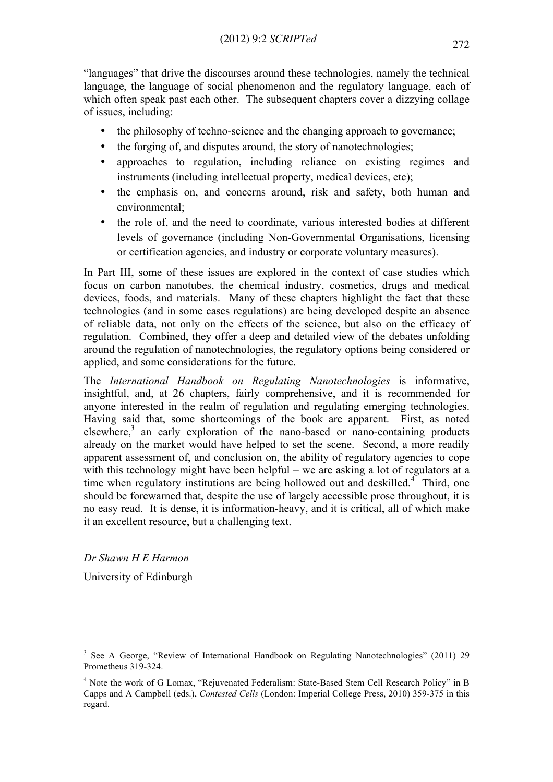"languages" that drive the discourses around these technologies, namely the technical language, the language of social phenomenon and the regulatory language, each of which often speak past each other. The subsequent chapters cover a dizzying collage of issues, including:

- the philosophy of techno-science and the changing approach to governance;
- the forging of, and disputes around, the story of nanotechnologies;
- approaches to regulation, including reliance on existing regimes and instruments (including intellectual property, medical devices, etc);
- the emphasis on, and concerns around, risk and safety, both human and environmental;
- the role of, and the need to coordinate, various interested bodies at different levels of governance (including Non-Governmental Organisations, licensing or certification agencies, and industry or corporate voluntary measures).

In Part III, some of these issues are explored in the context of case studies which focus on carbon nanotubes, the chemical industry, cosmetics, drugs and medical devices, foods, and materials. Many of these chapters highlight the fact that these technologies (and in some cases regulations) are being developed despite an absence of reliable data, not only on the effects of the science, but also on the efficacy of regulation. Combined, they offer a deep and detailed view of the debates unfolding around the regulation of nanotechnologies, the regulatory options being considered or applied, and some considerations for the future.

The *International Handbook on Regulating Nanotechnologies* is informative, insightful, and, at 26 chapters, fairly comprehensive, and it is recommended for anyone interested in the realm of regulation and regulating emerging technologies. Having said that, some shortcomings of the book are apparent. First, as noted elsewhere, $3$  an early exploration of the nano-based or nano-containing products already on the market would have helped to set the scene. Second, a more readily apparent assessment of, and conclusion on, the ability of regulatory agencies to cope with this technology might have been helpful – we are asking a lot of regulators at a time when regulatory institutions are being hollowed out and deskilled.<sup>4</sup> Third, one should be forewarned that, despite the use of largely accessible prose throughout, it is no easy read. It is dense, it is information-heavy, and it is critical, all of which make it an excellent resource, but a challenging text.

*Dr Shawn H E Harmon*

University of Edinburgh

 $\overline{a}$ 

<sup>&</sup>lt;sup>3</sup> See A George, "Review of International Handbook on Regulating Nanotechnologies" (2011) 29 Prometheus 319-324.

<sup>4</sup> Note the work of G Lomax, "Rejuvenated Federalism: State-Based Stem Cell Research Policy" in B Capps and A Campbell (eds.), *Contested Cells* (London: Imperial College Press, 2010) 359-375 in this regard.